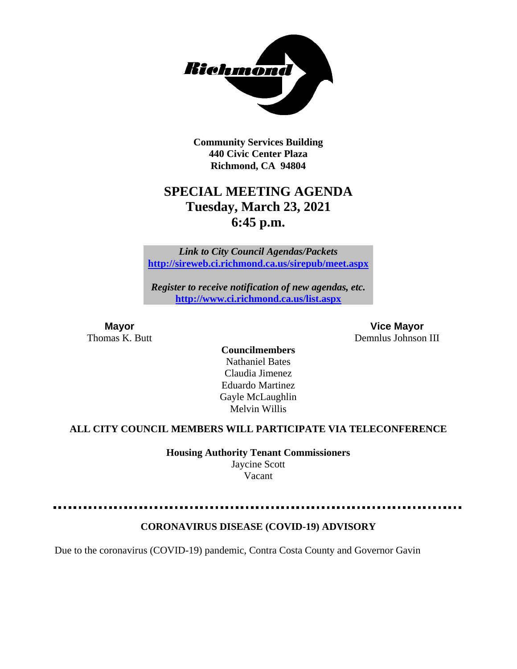

**Community Services Building 440 Civic Center Plaza Richmond, CA 94804**

# **SPECIAL MEETING AGENDA Tuesday, March 23, 2021 6:45 p.m.**

*Link to City Council Agendas/Packets* **<http://sireweb.ci.richmond.ca.us/sirepub/meet.aspx>**

*Register to receive notification of new agendas, etc.* **<http://www.ci.richmond.ca.us/list.aspx>**

**Mayor Vice Mayor** Thomas K. Butt **Demnlus Johnson III** 

> **Councilmembers** Nathaniel Bates Claudia Jimenez Eduardo Martinez Gayle McLaughlin Melvin Willis

#### **ALL CITY COUNCIL MEMBERS WILL PARTICIPATE VIA TELECONFERENCE**

**Housing Authority Tenant Commissioners** Jaycine Scott Vacant

#### **CORONAVIRUS DISEASE (COVID-19) ADVISORY**

Due to the coronavirus (COVID-19) pandemic, Contra Costa County and Governor Gavin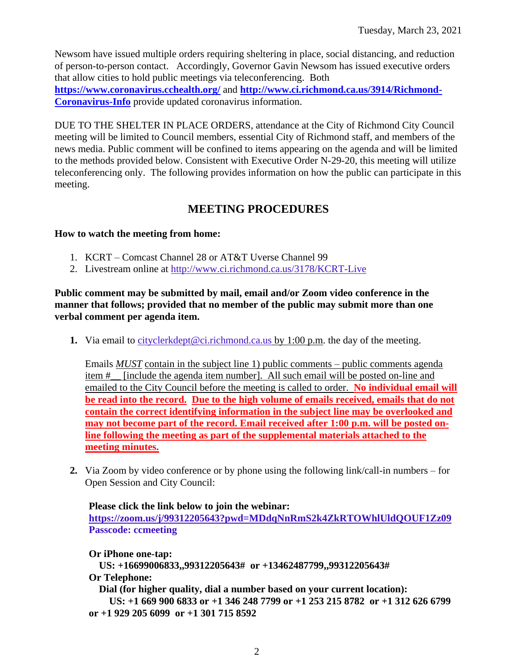Newsom have issued multiple orders requiring sheltering in place, social distancing, and reduction of person-to-person contact. Accordingly, Governor Gavin Newsom has issued executive orders that allow cities to hold public meetings via teleconferencing. Both **<https://www.coronavirus.cchealth.org/>** and **[http://www.ci.richmond.ca.us/3914/Richmond-](http://www.ci.richmond.ca.us/3914/Richmond-Coronavirus-Info)**

**[Coronavirus-Info](http://www.ci.richmond.ca.us/3914/Richmond-Coronavirus-Info)** provide updated coronavirus information.

DUE TO THE SHELTER IN PLACE ORDERS, attendance at the City of Richmond City Council meeting will be limited to Council members, essential City of Richmond staff, and members of the news media. Public comment will be confined to items appearing on the agenda and will be limited to the methods provided below. Consistent with Executive Order N-29-20, this meeting will utilize teleconferencing only. The following provides information on how the public can participate in this meeting.

# **MEETING PROCEDURES**

#### **How to watch the meeting from home:**

- 1. KCRT Comcast Channel 28 or AT&T Uverse Channel 99
- 2. Livestream online at<http://www.ci.richmond.ca.us/3178/KCRT-Live>

#### **Public comment may be submitted by mail, email and/or Zoom video conference in the manner that follows; provided that no member of the public may submit more than one verbal comment per agenda item.**

**1.** Via email to [cityclerkdept@ci.richmond.ca.us](mailto:cityclerkdept@ci.richmond.ca.us) by 1:00 p.m. the day of the meeting.

Emails *MUST* contain in the subject line 1) public comments – public comments agenda item #\_\_ [include the agenda item number]. All such email will be posted on-line and emailed to the City Council before the meeting is called to order. **No individual email will be read into the record. Due to the high volume of emails received, emails that do not contain the correct identifying information in the subject line may be overlooked and may not become part of the record. Email received after 1:00 p.m. will be posted online following the meeting as part of the supplemental materials attached to the meeting minutes.**

**2.** Via Zoom by video conference or by phone using the following link/call-in numbers – for Open Session and City Council:

#### **Please click the link below to join the webinar:**

**<https://zoom.us/j/99312205643?pwd=MDdqNnRmS2k4ZkRTOWhlUldQOUF1Zz09> Passcode: ccmeeting**

## **Or iPhone one-tap:**

**US: +16699006833,,99312205643# or +13462487799,,99312205643# Or Telephone:**

**Dial (for higher quality, dial a number based on your current location):**

**US: +1 669 900 6833 or +1 346 248 7799 or +1 253 215 8782 or +1 312 626 6799 or +1 929 205 6099 or +1 301 715 8592**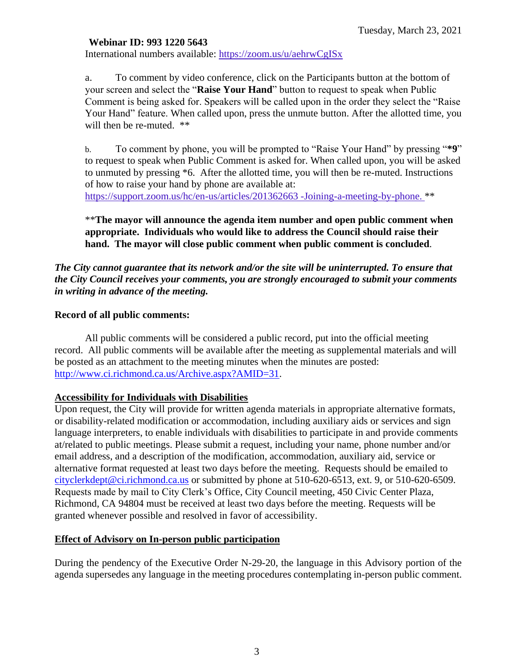#### **Webinar ID: 993 1220 5643**

International numbers available: <https://zoom.us/u/aehrwCgISx>

a. To comment by video conference, click on the Participants button at the bottom of your screen and select the "**Raise Your Hand**" button to request to speak when Public Comment is being asked for. Speakers will be called upon in the order they select the "Raise Your Hand" feature. When called upon, press the unmute button. After the allotted time, you will then be re-muted.  $**$ 

b. To comment by phone, you will be prompted to "Raise Your Hand" by pressing "**\*9**" to request to speak when Public Comment is asked for. When called upon, you will be asked to unmuted by pressing \*6. After the allotted time, you will then be re-muted. Instructions of how to raise your hand by phone are available at: [https://support.zoom.us/hc/en-us/articles/201362663 -Joining-a-meeting-by-phone.](https://support.zoom.us/hc/en-us/articles/201362663) \*\*

#### \*\***The mayor will announce the agenda item number and open public comment when appropriate. Individuals who would like to address the Council should raise their hand. The mayor will close public comment when public comment is concluded**.

#### *The City cannot guarantee that its network and/or the site will be uninterrupted. To ensure that the City Council receives your comments, you are strongly encouraged to submit your comments in writing in advance of the meeting.*

#### **Record of all public comments:**

All public comments will be considered a public record, put into the official meeting record. All public comments will be available after the meeting as supplemental materials and will be posted as an attachment to the meeting minutes when the minutes are posted: [http://www.ci.richmond.ca.us/Archive.aspx?AMID=31.](http://www.ci.richmond.ca.us/Archive.aspx?AMID=31)

#### **Accessibility for Individuals with Disabilities**

Upon request, the City will provide for written agenda materials in appropriate alternative formats, or disability-related modification or accommodation, including auxiliary aids or services and sign language interpreters, to enable individuals with disabilities to participate in and provide comments at/related to public meetings. Please submit a request, including your name, phone number and/or email address, and a description of the modification, accommodation, auxiliary aid, service or alternative format requested at least two days before the meeting. Requests should be emailed to [cityclerkdept@ci.richmond.ca.us](mailto:cityclerkdept@ci.richmond.ca.us) or submitted by phone at 510-620-6513, ext. 9, or 510-620-6509. Requests made by mail to City Clerk's Office, City Council meeting, 450 Civic Center Plaza, Richmond, CA 94804 must be received at least two days before the meeting. Requests will be granted whenever possible and resolved in favor of accessibility.

#### **Effect of Advisory on In-person public participation**

During the pendency of the Executive Order N-29-20, the language in this Advisory portion of the agenda supersedes any language in the meeting procedures contemplating in-person public comment.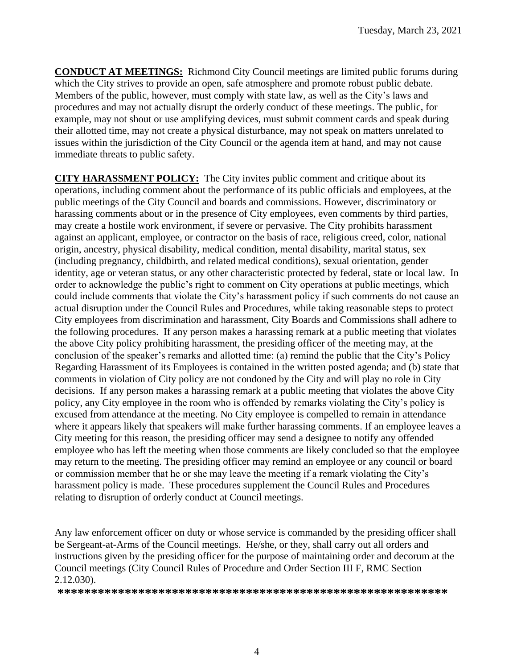**CONDUCT AT MEETINGS:** Richmond City Council meetings are limited public forums during which the City strives to provide an open, safe atmosphere and promote robust public debate. Members of the public, however, must comply with state law, as well as the City's laws and procedures and may not actually disrupt the orderly conduct of these meetings. The public, for example, may not shout or use amplifying devices, must submit comment cards and speak during their allotted time, may not create a physical disturbance, may not speak on matters unrelated to issues within the jurisdiction of the City Council or the agenda item at hand, and may not cause immediate threats to public safety.

**CITY HARASSMENT POLICY:** The City invites public comment and critique about its operations, including comment about the performance of its public officials and employees, at the public meetings of the City Council and boards and commissions. However, discriminatory or harassing comments about or in the presence of City employees, even comments by third parties, may create a hostile work environment, if severe or pervasive. The City prohibits harassment against an applicant, employee, or contractor on the basis of race, religious creed, color, national origin, ancestry, physical disability, medical condition, mental disability, marital status, sex (including pregnancy, childbirth, and related medical conditions), sexual orientation, gender identity, age or veteran status, or any other characteristic protected by federal, state or local law. In order to acknowledge the public's right to comment on City operations at public meetings, which could include comments that violate the City's harassment policy if such comments do not cause an actual disruption under the Council Rules and Procedures, while taking reasonable steps to protect City employees from discrimination and harassment, City Boards and Commissions shall adhere to the following procedures. If any person makes a harassing remark at a public meeting that violates the above City policy prohibiting harassment, the presiding officer of the meeting may, at the conclusion of the speaker's remarks and allotted time: (a) remind the public that the City's Policy Regarding Harassment of its Employees is contained in the written posted agenda; and (b) state that comments in violation of City policy are not condoned by the City and will play no role in City decisions. If any person makes a harassing remark at a public meeting that violates the above City policy, any City employee in the room who is offended by remarks violating the City's policy is excused from attendance at the meeting. No City employee is compelled to remain in attendance where it appears likely that speakers will make further harassing comments. If an employee leaves a City meeting for this reason, the presiding officer may send a designee to notify any offended employee who has left the meeting when those comments are likely concluded so that the employee may return to the meeting. The presiding officer may remind an employee or any council or board or commission member that he or she may leave the meeting if a remark violating the City's harassment policy is made. These procedures supplement the Council Rules and Procedures relating to disruption of orderly conduct at Council meetings.

Any law enforcement officer on duty or whose service is commanded by the presiding officer shall be Sergeant-at-Arms of the Council meetings. He/she, or they, shall carry out all orders and instructions given by the presiding officer for the purpose of maintaining order and decorum at the Council meetings (City Council Rules of Procedure and Order Section III F, RMC Section 2.12.030).

**\*\*\*\*\*\*\*\*\*\*\*\*\*\*\*\*\*\*\*\*\*\*\*\*\*\*\*\*\*\*\*\*\*\*\*\*\*\*\*\*\*\*\*\*\*\*\*\*\*\*\*\*\*\*\*\*\*\***